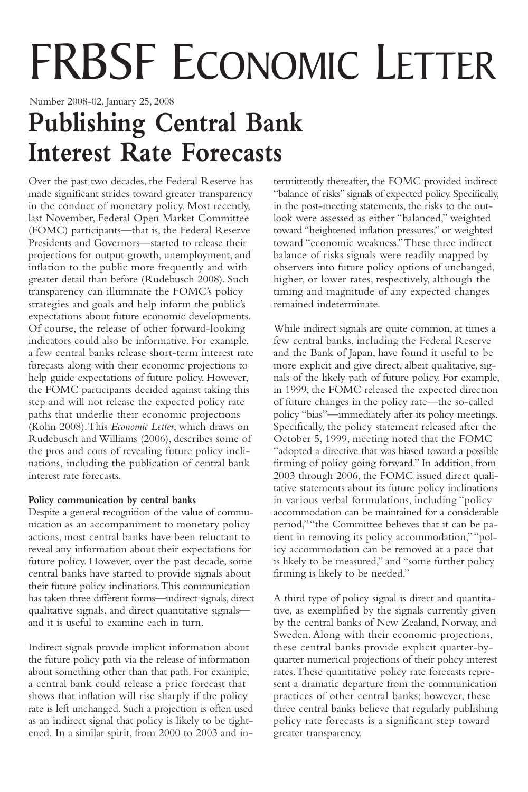# FRBSF ECONOMIC LETTER

Number 2008-02, January 25, 2008

## **Publishing Central Bank Interest Rate Forecasts**

Over the past two decades, the Federal Reserve has made significant strides toward greater transparency in the conduct of monetary policy. Most recently, last November, Federal Open Market Committee (FOMC) participants—that is, the Federal Reserve Presidents and Governors—started to release their projections for output growth, unemployment, and inflation to the public more frequently and with greater detail than before (Rudebusch 2008). Such transparency can illuminate the FOMC's policy strategies and goals and help inform the public's expectations about future economic developments. Of course, the release of other forward-looking indicators could also be informative. For example, a few central banks release short-term interest rate forecasts along with their economic projections to help guide expectations of future policy. However, the FOMC participants decided against taking this step and will not release the expected policy rate paths that underlie their economic projections (Kohn 2008).This *Economic Letter*, which draws on Rudebusch and Williams (2006), describes some of the pros and cons of revealing future policy inclinations, including the publication of central bank interest rate forecasts.

#### **Policy communication by central banks**

Despite a general recognition of the value of communication as an accompaniment to monetary policy actions, most central banks have been reluctant to reveal any information about their expectations for future policy. However, over the past decade, some central banks have started to provide signals about their future policy inclinations.This communication has taken three different forms—indirect signals, direct qualitative signals, and direct quantitative signals and it is useful to examine each in turn.

Indirect signals provide implicit information about the future policy path via the release of information about something other than that path. For example, a central bank could release a price forecast that shows that inflation will rise sharply if the policy rate is left unchanged. Such a projection is often used as an indirect signal that policy is likely to be tightened. In a similar spirit, from 2000 to 2003 and in-

termittently thereafter, the FOMC provided indirect "balance of risks" signals of expected policy. Specifically, in the post-meeting statements, the risks to the outlook were assessed as either "balanced," weighted toward "heightened inflation pressures," or weighted toward "economic weakness."These three indirect balance of risks signals were readily mapped by observers into future policy options of unchanged, higher, or lower rates, respectively, although the timing and magnitude of any expected changes remained indeterminate.

While indirect signals are quite common, at times a few central banks, including the Federal Reserve and the Bank of Japan, have found it useful to be more explicit and give direct, albeit qualitative, signals of the likely path of future policy. For example, in 1999, the FOMC released the expected direction of future changes in the policy rate—the so-called policy "bias"—immediately after its policy meetings. Specifically, the policy statement released after the October 5, 1999, meeting noted that the FOMC "adopted a directive that was biased toward a possible firming of policy going forward." In addition, from 2003 through 2006, the FOMC issued direct qualitative statements about its future policy inclinations in various verbal formulations, including "policy accommodation can be maintained for a considerable period,""the Committee believes that it can be patient in removing its policy accommodation,""policy accommodation can be removed at a pace that is likely to be measured," and "some further policy firming is likely to be needed."

A third type of policy signal is direct and quantitative, as exemplified by the signals currently given by the central banks of New Zealand, Norway, and Sweden.Along with their economic projections, these central banks provide explicit quarter-byquarter numerical projections of their policy interest rates.These quantitative policy rate forecasts represent a dramatic departure from the communication practices of other central banks; however, these three central banks believe that regularly publishing policy rate forecasts is a significant step toward greater transparency.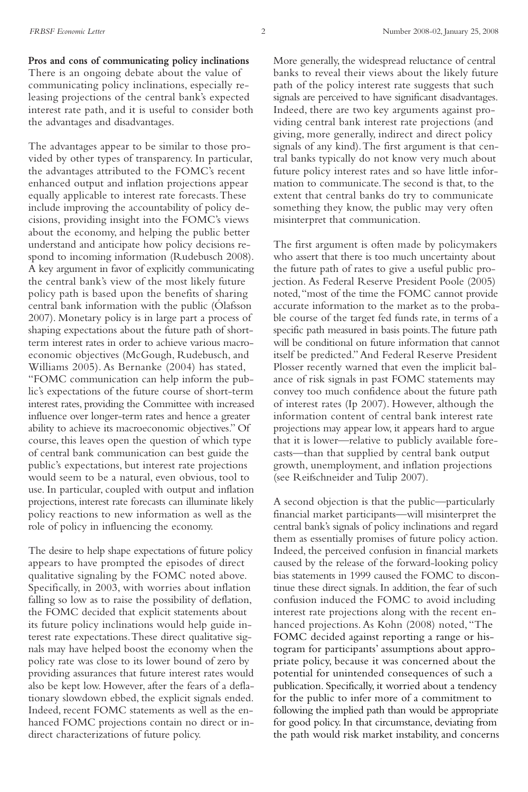**Pros and cons of communicating policy inclinations** There is an ongoing debate about the value of communicating policy inclinations, especially releasing projections of the central bank's expected interest rate path, and it is useful to consider both the advantages and disadvantages.

The advantages appear to be similar to those provided by other types of transparency. In particular, the advantages attributed to the FOMC's recent enhanced output and inflation projections appear equally applicable to interest rate forecasts.These include improving the accountability of policy decisions, providing insight into the FOMC's views about the economy, and helping the public better understand and anticipate how policy decisions respond to incoming information (Rudebusch 2008). A key argument in favor of explicitly communicating the central bank's view of the most likely future policy path is based upon the benefits of sharing central bank information with the public (Ólafsson 2007). Monetary policy is in large part a process of shaping expectations about the future path of shortterm interest rates in order to achieve various macroeconomic objectives (McGough, Rudebusch, and Williams 2005). As Bernanke (2004) has stated, "FOMC communication can help inform the public's expectations of the future course of short-term interest rates, providing the Committee with increased influence over longer-term rates and hence a greater ability to achieve its macroeconomic objectives." Of course, this leaves open the question of which type of central bank communication can best guide the public's expectations, but interest rate projections would seem to be a natural, even obvious, tool to use. In particular, coupled with output and inflation projections, interest rate forecasts can illuminate likely policy reactions to new information as well as the role of policy in influencing the economy.

The desire to help shape expectations of future policy appears to have prompted the episodes of direct qualitative signaling by the FOMC noted above. Specifically, in 2003, with worries about inflation falling so low as to raise the possibility of deflation, the FOMC decided that explicit statements about its future policy inclinations would help guide interest rate expectations.These direct qualitative signals may have helped boost the economy when the policy rate was close to its lower bound of zero by providing assurances that future interest rates would also be kept low. However, after the fears of a deflationary slowdown ebbed, the explicit signals ended. Indeed, recent FOMC statements as well as the enhanced FOMC projections contain no direct or indirect characterizations of future policy.

More generally, the widespread reluctance of central banks to reveal their views about the likely future path of the policy interest rate suggests that such signals are perceived to have significant disadvantages. Indeed, there are two key arguments against providing central bank interest rate projections (and giving, more generally, indirect and direct policy signals of any kind).The first argument is that central banks typically do not know very much about future policy interest rates and so have little information to communicate.The second is that, to the extent that central banks do try to communicate something they know, the public may very often misinterpret that communication.

The first argument is often made by policymakers who assert that there is too much uncertainty about the future path of rates to give a useful public projection. As Federal Reserve President Poole (2005) noted,"most of the time the FOMC cannot provide accurate information to the market as to the probable course of the target fed funds rate, in terms of a specific path measured in basis points.The future path will be conditional on future information that cannot itself be predicted."And Federal Reserve President Plosser recently warned that even the implicit balance of risk signals in past FOMC statements may convey too much confidence about the future path of interest rates (Ip 2007). However, although the information content of central bank interest rate projections may appear low, it appears hard to argue that it is lower—relative to publicly available forecasts—than that supplied by central bank output growth, unemployment, and inflation projections (see Reifschneider and Tulip 2007).

A second objection is that the public—particularly financial market participants—will misinterpret the central bank's signals of policy inclinations and regard them as essentially promises of future policy action. Indeed, the perceived confusion in financial markets caused by the release of the forward-looking policy bias statements in 1999 caused the FOMC to discontinue these direct signals. In addition, the fear of such confusion induced the FOMC to avoid including interest rate projections along with the recent enhanced projections.As Kohn (2008) noted, "The FOMC decided against reporting a range or histogram for participants' assumptions about appropriate policy, because it was concerned about the potential for unintended consequences of such a publication. Specifically, it worried about a tendency for the public to infer more of a commitment to following the implied path than would be appropriate for good policy. In that circumstance, deviating from the path would risk market instability, and concerns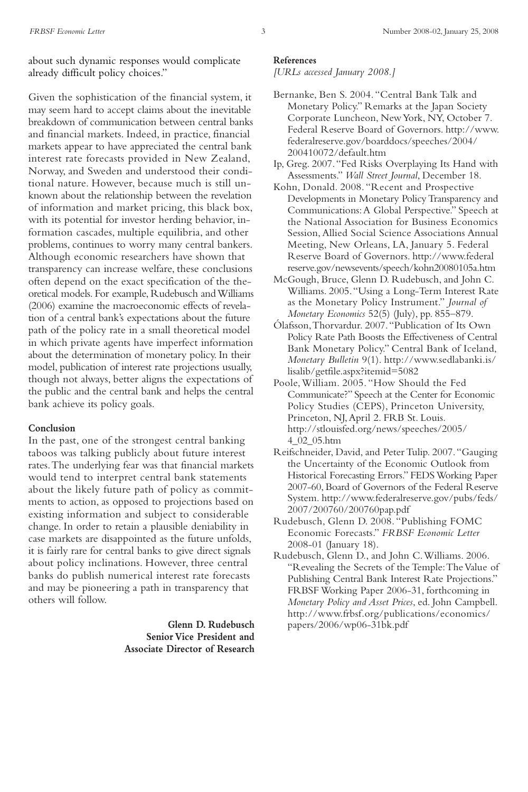about such dynamic responses would complicate already difficult policy choices."

Given the sophistication of the financial system, it may seem hard to accept claims about the inevitable breakdown of communication between central banks and financial markets. Indeed, in practice, financial markets appear to have appreciated the central bank interest rate forecasts provided in New Zealand, Norway, and Sweden and understood their conditional nature. However, because much is still unknown about the relationship between the revelation of information and market pricing, this black box, with its potential for investor herding behavior, information cascades, multiple equilibria, and other problems, continues to worry many central bankers. Although economic researchers have shown that transparency can increase welfare, these conclusions often depend on the exact specification of the theoretical models. For example, Rudebusch and Williams (2006) examine the macroeconomic effects of revelation of a central bank's expectations about the future path of the policy rate in a small theoretical model in which private agents have imperfect information about the determination of monetary policy. In their model, publication of interest rate projections usually, though not always, better aligns the expectations of the public and the central bank and helps the central bank achieve its policy goals.

#### **Conclusion**

In the past, one of the strongest central banking taboos was talking publicly about future interest rates.The underlying fear was that financial markets would tend to interpret central bank statements about the likely future path of policy as commitments to action, as opposed to projections based on existing information and subject to considerable change. In order to retain a plausible deniability in case markets are disappointed as the future unfolds, it is fairly rare for central banks to give direct signals about policy inclinations. However, three central banks do publish numerical interest rate forecasts and may be pioneering a path in transparency that others will follow.

> **Glenn D. Rudebusch Senior Vice President and Associate Director of Research**

#### **References**

*[URLs accessed January 2008.]*

- Bernanke, Ben S. 2004. "Central Bank Talk and Monetary Policy." Remarks at the Japan Society Corporate Luncheon, NewYork, NY, October 7. Federal Reserve Board of Governors. http://www. federalreserve.gov/boarddocs/speeches/2004/ 200410072/default.htm
- Ip, Greg. 2007."Fed Risks Overplaying Its Hand with Assessments." *Wall Street Journal*, December 18.
- Kohn, Donald. 2008. "Recent and Prospective Developments in Monetary PolicyTransparency and Communications:A Global Perspective." Speech at the National Association for Business Economics Session,Allied Social Science Associations Annual Meeting, New Orleans, LA, January 5. Federal Reserve Board of Governors. http://www.federal reserve.gov/newsevents/speech/kohn20080105a.htm
- McGough, Bruce, Glenn D. Rudebusch, and John C. Williams. 2005."Using a Long-Term Interest Rate as the Monetary Policy Instrument." *Journal of Monetary Economics* 52(5) (July), pp. 855–879.
- Ólafsson,Thorvardur. 2007."Publication of Its Own Policy Rate Path Boosts the Effectiveness of Central Bank Monetary Policy." Central Bank of Iceland, *Monetary Bulletin* 9(1). http://www.sedlabanki.is/ lisalib/getfile.aspx?itemid=5082
- Poole,William. 2005. "How Should the Fed Communicate?" Speech at the Center for Economic Policy Studies (CEPS), Princeton University, Princeton, NJ,April 2. FRB St. Louis. http://stlouisfed.org/news/speeches/2005/ 4\_02\_05.htm
- Reifschneider, David, and Peter Tulip. 2007."Gauging the Uncertainty of the Economic Outlook from Historical Forecasting Errors." FEDSWorking Paper 2007-60, Board of Governors of the Federal Reserve System. http://www.federalreserve.gov/pubs/feds/ 2007/200760/200760pap.pdf
- Rudebusch, Glenn D. 2008. "Publishing FOMC Economic Forecasts." *FRBSF Economic Letter* 2008-01 (January 18).
- Rudebusch, Glenn D., and John C.Williams. 2006. "Revealing the Secrets of the Temple:TheValue of Publishing Central Bank Interest Rate Projections." FRBSF Working Paper 2006-31, forthcoming in *Monetary Policy and Asset Prices*, ed. John Campbell. http://www.frbsf.org/publications/economics/ papers/2006/wp06-31bk.pdf